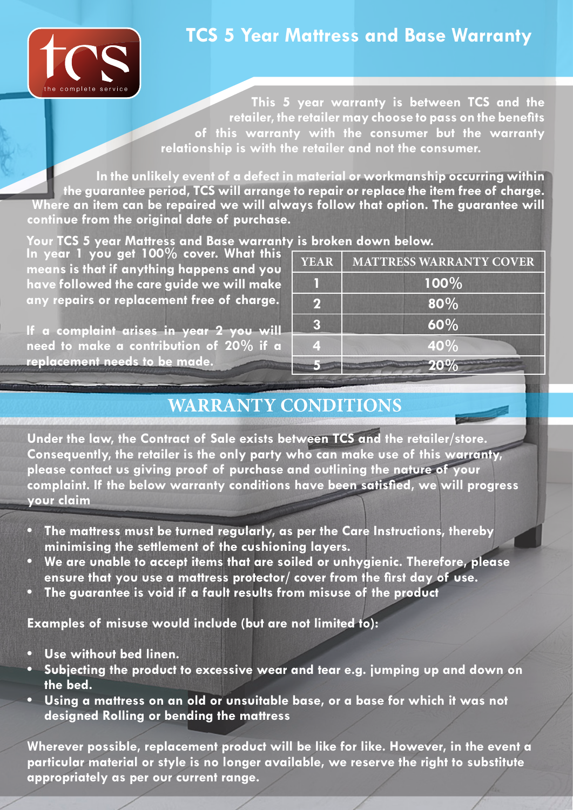

## **TCS 5 Year Mattress and Base Warranty**

**This 5 year warranty is between TCS and the retailer, the retailer may choose to pass on the benefits of this warranty with the consumer but the warranty relationship is with the retailer and not the consumer.**

**In the unlikely event of a defect in material or workmanship occurring within the guarantee period, TCS will arrange to repair or replace the item free of charge. Where an item can be repaired we will always follow that option. The guarantee will continue from the original date of purchase.**

#### **Your TCS 5 year Mattress and Base warranty is broken down below.**

**In year 1 you get 100% cover. What this means is that if anything happens and you have followed the care guide we will make any repairs or replacement free of charge.** 

**If a complaint arises in year 2 you will need to make a contribution of 20% if a replacement needs to be made.**

| <b>YEAR</b> | <b>MATTRESS WARRANTY COVER</b> |
|-------------|--------------------------------|
|             | $100\%$                        |
| $\mathbf 2$ | 80%                            |
| З           | 60%                            |
|             | 40%                            |
|             |                                |

### **WARRANTY CONDITIONS**

**Under the law, the Contract of Sale exists between TCS and the retailer/store. Consequently, the retailer is the only party who can make use of this warranty, please contact us giving proof of purchase and outlining the nature of your complaint. If the below warranty conditions have been satisfied, we will progress your claim**

- **• The mattress must be turned regularly, as per the Care Instructions, thereby minimising the settlement of the cushioning layers.**
- **• We are unable to accept items that are soiled or unhygienic. Therefore, please ensure that you use a mattress protector/ cover from the first day of use.**
- **• The guarantee is void if a fault results from misuse of the product**

**Examples of misuse would include (but are not limited to):**

- **• Use without bed linen.**
- **• Subjecting the product to excessive wear and tear e.g. jumping up and down on the bed.**
- **• Using a mattress on an old or unsuitable base, or a base for which it was not designed Rolling or bending the mattress**

**Wherever possible, replacement product will be like for like. However, in the event a particular material or style is no longer available, we reserve the right to substitute appropriately as per our current range.**